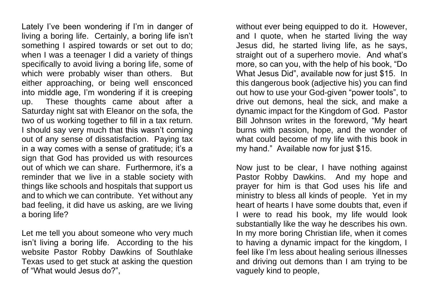Lately I've been wondering if I'm in danger of living a boring life. Certainly, a boring life isn't something I aspired towards or set out to do; when I was a teenager I did a variety of things specifically to avoid living a boring life, some of which were probably wiser than others. But either approaching, or being well ensconced into middle age, I'm wondering if it is creeping up. These thoughts came about after a Saturday night sat with Eleanor on the sofa, the two of us working together to fill in a tax return. I should say very much that this wasn't coming out of any sense of dissatisfaction. Paying tax in a way comes with a sense of gratitude; it's a sign that God has provided us with resources out of which we can share. Furthermore, it's a reminder that we live in a stable society with things like schools and hospitals that support us and to which we can contribute. Yet without any bad feeling, it did have us asking, are we living a boring life?

Let me tell you about someone who very much isn't living a boring life. According to the his website Pastor Robby Dawkins of Southlake Texas used to get stuck at asking the question of "What would Jesus do?",

without ever being equipped to do it. However, and I quote, when he started living the way Jesus did, he started living life, as he says, straight out of a superhero movie. And what's more, so can you, with the help of his book, "Do What Jesus Did", available now for just \$15. In this dangerous book (adjective his) you can find out how to use your God-given "power tools", to drive out demons, heal the sick, and make a dynamic impact for the Kingdom of God. Pastor Bill Johnson writes in the foreword, "My heart burns with passion, hope, and the wonder of what could become of my life with this book in my hand." Available now for just \$15.

Now just to be clear, I have nothing against Pastor Robby Dawkins. And my hope and prayer for him is that God uses his life and ministry to bless all kinds of people. Yet in my heart of hearts I have some doubts that, even if I were to read his book, my life would look substantially like the way he describes his own. In my more boring Christian life, when it comes to having a dynamic impact for the kingdom, I feel like I'm less about healing serious illnesses and driving out demons than I am trying to be vaguely kind to people,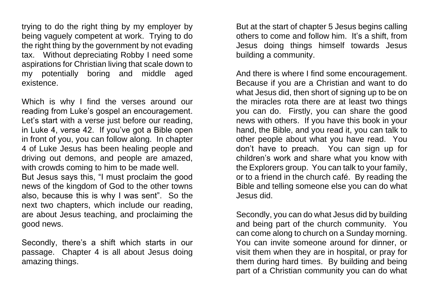trying to do the right thing by my employer by being vaguely competent at work. Trying to do the right thing by the government by not evading tax. Without depreciating Robby I need some aspirations for Christian living that scale down to my potentially boring and middle aged existence.

Which is why I find the verses around our reading from Luke's gospel an encouragement. Let's start with a verse just before our reading, in Luke 4, verse 42. If you've got a Bible open in front of you, you can follow along. In chapter 4 of Luke Jesus has been healing people and driving out demons, and people are amazed, with crowds coming to him to be made well.

But Jesus says this, "I must proclaim the good news of the kingdom of God to the other towns also, because this is why I was sent". So the next two chapters, which include our reading, are about Jesus teaching, and proclaiming the good news.

Secondly, there's a shift which starts in our passage. Chapter 4 is all about Jesus doing amazing things.

But at the start of chapter 5 Jesus begins calling others to come and follow him. It's a shift, from Jesus doing things himself towards Jesus building a community.

And there is where I find some encouragement. Because if you are a Christian and want to do what Jesus did, then short of signing up to be on the miracles rota there are at least two things you can do. Firstly, you can share the good news with others. If you have this book in your hand, the Bible, and you read it, you can talk to other people about what you have read. You don't have to preach. You can sign up for children's work and share what you know with the Explorers group. You can talk to your family, or to a friend in the church café. By reading the Bible and telling someone else you can do what Jesus did.

Secondly, you can do what Jesus did by building and being part of the church community. You can come along to church on a Sunday morning. You can invite someone around for dinner, or visit them when they are in hospital, or pray for them during hard times. By building and being part of a Christian community you can do what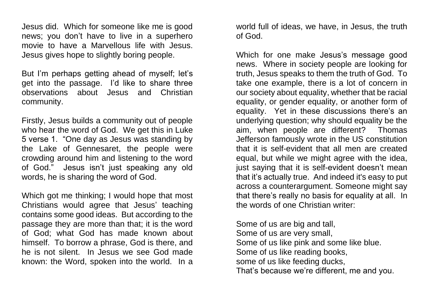Jesus did. Which for someone like me is good news; you don't have to live in a superhero movie to have a Marvellous life with Jesus. Jesus gives hope to slightly boring people.

But I'm perhaps getting ahead of myself; let's get into the passage. I'd like to share three observations about Jesus and Christian community.

Firstly, Jesus builds a community out of people who hear the word of God. We get this in Luke 5 verse 1. "One day as Jesus was standing by the Lake of Gennesaret, the people were crowding around him and listening to the word of God." Jesus isn't just speaking any old words, he is sharing the word of God.

Which got me thinking; I would hope that most Christians would agree that Jesus' teaching contains some good ideas. But according to the passage they are more than that; it is the word of God; what God has made known about himself. To borrow a phrase, God is there, and he is not silent. In Jesus we see God made known: the Word, spoken into the world. In a

world full of ideas, we have, in Jesus, the truth of God.

Which for one make Jesus's message good news. Where in society people are looking for truth, Jesus speaks to them the truth of God. To take one example, there is a lot of concern in our society about equality, whether that be racial equality, or gender equality, or another form of equality. Yet in these discussions there's an underlying question; why should equality be the aim, when people are different? Thomas Jefferson famously wrote in the US constitution that it is self-evident that all men are created equal, but while we might agree with the idea, just saying that it is self-evident doesn't mean that it's actually true. And indeed it's easy to put across a counterargument. Someone might say that there's really no basis for equality at all. In the words of one Christian writer:

Some of us are big and tall, Some of us are very small, Some of us like pink and some like blue. Some of us like reading books, some of us like feeding ducks, That's because we're different, me and you.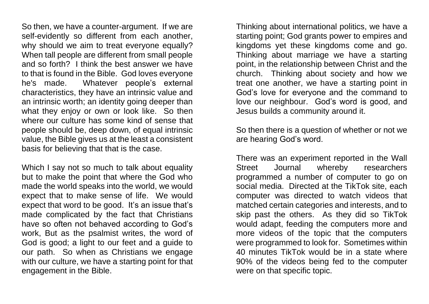So then, we have a counter-argument. If we are self-evidently so different from each another, why should we aim to treat everyone equally? When tall people are different from small people and so forth? I think the best answer we have to that is found in the Bible. God loves everyone he's made. Whatever people's external characteristics, they have an intrinsic value and an intrinsic worth; an identity going deeper than what they enjoy or own or look like. So then where our culture has some kind of sense that people should be, deep down, of equal intrinsic value, the Bible gives us at the least a consistent basis for believing that that is the case.

Which I say not so much to talk about equality but to make the point that where the God who made the world speaks into the world, we would expect that to make sense of life. We would expect that word to be good. It's an issue that's made complicated by the fact that Christians have so often not behaved according to God's work, But as the psalmist writes, the word of God is good; a light to our feet and a guide to our path. So when as Christians we engage with our culture, we have a starting point for that engagement in the Bible.

Thinking about international politics, we have a starting point; God grants power to empires and kingdoms yet these kingdoms come and go. Thinking about marriage we have a starting point, in the relationship between Christ and the church. Thinking about society and how we treat one another, we have a starting point in God's love for everyone and the command to love our neighbour. God's word is good, and Jesus builds a community around it.

So then there is a question of whether or not we are hearing God's word.

There was an experiment reported in the Wall Street Journal whereby researchers programmed a number of computer to go on social media. Directed at the TikTok site, each computer was directed to watch videos that matched certain categories and interests, and to skip past the others. As they did so TikTok would adapt, feeding the computers more and more videos of the topic that the computers were programmed to look for. Sometimes within 40 minutes TikTok would be in a state where 90% of the videos being fed to the computer were on that specific topic.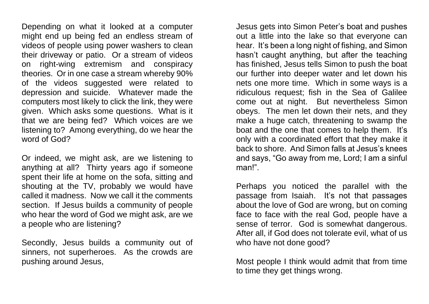Depending on what it looked at a computer might end up being fed an endless stream of videos of people using power washers to clean their driveway or patio. Or a stream of videos on right-wing extremism and conspiracy theories. Or in one case a stream whereby 90% of the videos suggested were related to depression and suicide. Whatever made the computers most likely to click the link, they were given. Which asks some questions. What is it that we are being fed? Which voices are we listening to? Among everything, do we hear the word of God?

Or indeed, we might ask, are we listening to anything at all? Thirty years ago if someone spent their life at home on the sofa, sitting and shouting at the TV, probably we would have called it madness. Now we call it the comments section. If Jesus builds a community of people who hear the word of God we might ask, are we a people who are listening?

Secondly, Jesus builds a community out of sinners, not superheroes. As the crowds are pushing around Jesus,

Jesus gets into Simon Peter's boat and pushes out a little into the lake so that everyone can hear. It's been a long night of fishing, and Simon hasn't caught anything, but after the teaching has finished, Jesus tells Simon to push the boat our further into deeper water and let down his nets one more time. Which in some ways is a ridiculous request; fish in the Sea of Galilee come out at night. But nevertheless Simon obeys. The men let down their nets, and they make a huge catch, threatening to swamp the boat and the one that comes to help them. It's only with a coordinated effort that they make it back to shore. And Simon falls at Jesus's knees and says, "Go away from me, Lord; I am a sinful man!".

Perhaps you noticed the parallel with the passage from Isaiah. It's not that passages about the love of God are wrong, but on coming face to face with the real God, people have a sense of terror. God is somewhat dangerous. After all, if God does not tolerate evil, what of us who have not done good?

Most people I think would admit that from time to time they get things wrong.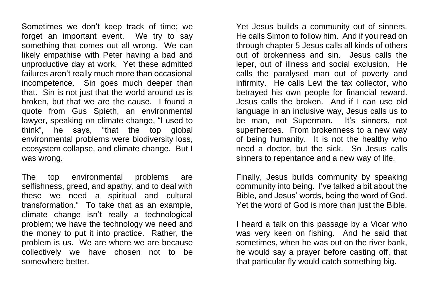Sometimes we don't keep track of time; we forget an important event. We try to say something that comes out all wrong. We can likely empathise with Peter having a bad and unproductive day at work. Yet these admitted failures aren't really much more than occasional incompetence. Sin goes much deeper than that. Sin is not just that the world around us is broken, but that we are the cause. I found a quote from Gus Spieth, an environmental lawyer, speaking on climate change, "I used to think", he says, "that the top global environmental problems were biodiversity loss, ecosystem collapse, and climate change. But I was wrong.

The top environmental problems are selfishness, greed, and apathy, and to deal with these we need a spiritual and cultural transformation." To take that as an example, climate change isn't really a technological problem; we have the technology we need and the money to put it into practice. Rather, the problem is us. We are where we are because collectively we have chosen not to be somewhere better.

Yet Jesus builds a community out of sinners. He calls Simon to follow him. And if you read on through chapter 5 Jesus calls all kinds of others out of brokenness and sin. Jesus calls the leper, out of illness and social exclusion. He calls the paralysed man out of poverty and infirmity. He calls Levi the tax collector, who betrayed his own people for financial reward. Jesus calls the broken. And if I can use old language in an inclusive way, Jesus calls us to be man, not Superman. It's sinners, not superheroes. From brokenness to a new way of being humanity. It is not the healthy who need a doctor, but the sick. So Jesus calls sinners to repentance and a new way of life.

Finally, Jesus builds community by speaking community into being. I've talked a bit about the Bible, and Jesus' words, being the word of God. Yet the word of God is more than just the Bible.

I heard a talk on this passage by a Vicar who was very keen on fishing. And he said that sometimes, when he was out on the river bank, he would say a prayer before casting off, that that particular fly would catch something big.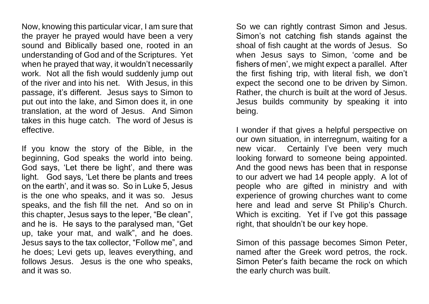Now, knowing this particular vicar, I am sure that the prayer he prayed would have been a very sound and Biblically based one, rooted in an understanding of God and of the Scriptures. Yet when he prayed that way, it wouldn't necessarily work. Not all the fish would suddenly jump out of the river and into his net. With Jesus, in this passage, it's different. Jesus says to Simon to put out into the lake, and Simon does it, in one translation, at the word of Jesus. And Simon takes in this huge catch. The word of Jesus is effective.

If you know the story of the Bible, in the beginning, God speaks the world into being. God says, 'Let there be light', and there was light. God says, 'Let there be plants and trees on the earth', and it was so. So in Luke 5, Jesus is the one who speaks, and it was so. Jesus speaks, and the fish fill the net. And so on in this chapter, Jesus says to the leper, "Be clean", and he is. He says to the paralysed man, "Get up, take your mat, and walk", and he does. Jesus says to the tax collector, "Follow me", and he does; Levi gets up, leaves everything, and follows Jesus. Jesus is the one who speaks, and it was so.

So we can rightly contrast Simon and Jesus. Simon's not catching fish stands against the shoal of fish caught at the words of Jesus. So when Jesus says to Simon, 'come and be fishers of men', we might expect a parallel. After the first fishing trip, with literal fish, we don't expect the second one to be driven by Simon. Rather, the church is built at the word of Jesus. Jesus builds community by speaking it into being.

I wonder if that gives a helpful perspective on our own situation, in interregnum, waiting for a new vicar. Certainly I've been very much looking forward to someone being appointed. And the good news has been that in response to our advert we had 14 people apply. A lot of people who are gifted in ministry and with experience of growing churches want to come here and lead and serve St Philip's Church. Which is exciting. Yet if I've got this passage right, that shouldn't be our key hope.

Simon of this passage becomes Simon Peter, named after the Greek word petros, the rock. Simon Peter's faith became the rock on which the early church was built.